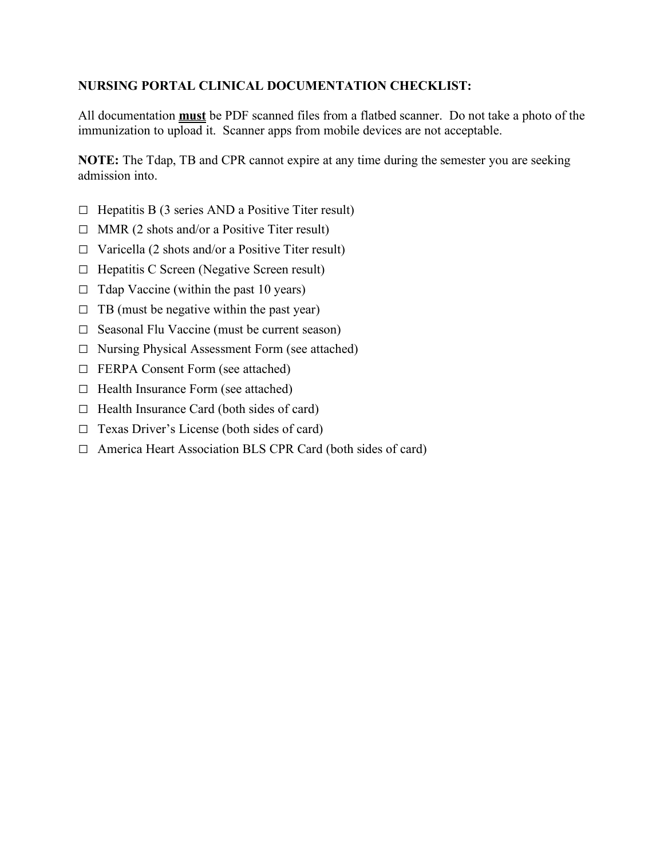# **NURSING PORTAL CLINICAL DOCUMENTATION CHECKLIST:**

All documentation **must** be PDF scanned files from a flatbed scanner. Do not take a photo of the immunization to upload it. Scanner apps from mobile devices are not acceptable.

**NOTE:** The Tdap, TB and CPR cannot expire at any time during the semester you are seeking admission into.

- $\Box$  Hepatitis B (3 series AND a Positive Titer result)
- □ MMR (2 shots and/or a Positive Titer result)
- $\Box$  Varicella (2 shots and/or a Positive Titer result)
- □ Hepatitis C Screen (Negative Screen result)
- $\Box$  Tdap Vaccine (within the past 10 years)
- $\Box$  TB (must be negative within the past year)
- $\Box$  Seasonal Flu Vaccine (must be current season)
- □ Nursing Physical Assessment Form (see attached)
- □ FERPA Consent Form (see attached)
- □ Health Insurance Form (see attached)
- $\Box$  Health Insurance Card (both sides of card)
- □ Texas Driver's License (both sides of card)
- □ America Heart Association BLS CPR Card (both sides of card)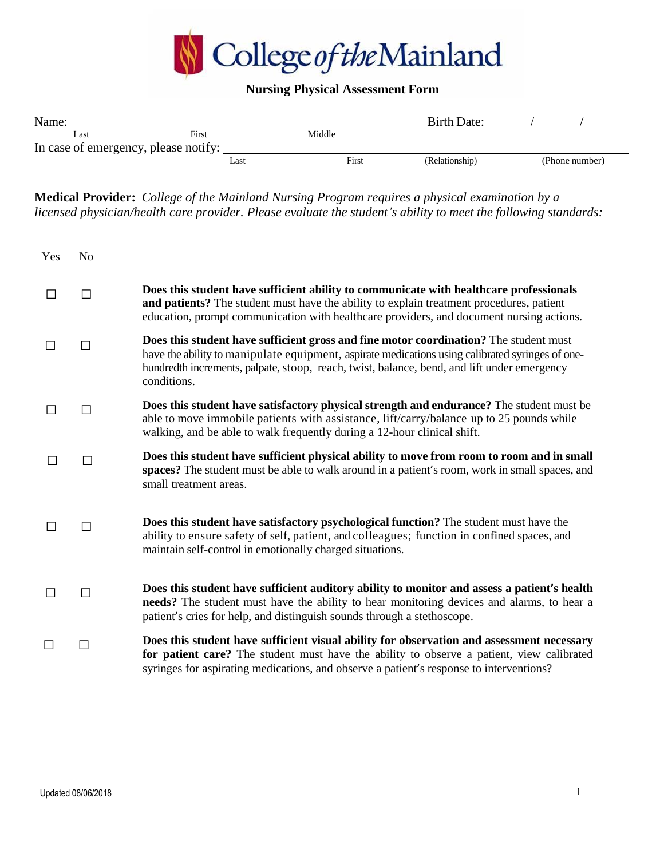

# **Nursing Physical Assessment Form**

| Name:                                |       |        | <b>Birth Date:</b> |                |
|--------------------------------------|-------|--------|--------------------|----------------|
| Last                                 | First | Middle |                    |                |
| In case of emergency, please notify: |       |        |                    |                |
|                                      | Last  | First  | (Relationship)     | (Phone number) |

**Medical Provider:** *College of the Mainland Nursing Program requires a physical examination by a licensed physician/health care provider. Please evaluate the student's ability to meet the following standards:*

| Yes | N <sub>o</sub> |                                                                                                                                                                                                                                                                                                         |
|-----|----------------|---------------------------------------------------------------------------------------------------------------------------------------------------------------------------------------------------------------------------------------------------------------------------------------------------------|
|     | П              | Does this student have sufficient ability to communicate with healthcare professionals<br>and patients? The student must have the ability to explain treatment procedures, patient<br>education, prompt communication with healthcare providers, and document nursing actions.                          |
|     | П              | Does this student have sufficient gross and fine motor coordination? The student must<br>have the ability to manipulate equipment, aspirate medications using calibrated syringes of one-<br>hundredth increments, palpate, stoop, reach, twist, balance, bend, and lift under emergency<br>conditions. |
|     | П              | Does this student have satisfactory physical strength and endurance? The student must be<br>able to move immobile patients with assistance, lift/carry/balance up to 25 pounds while<br>walking, and be able to walk frequently during a 12-hour clinical shift.                                        |
|     | П              | Does this student have sufficient physical ability to move from room to room and in small<br>spaces? The student must be able to walk around in a patient's room, work in small spaces, and<br>small treatment areas.                                                                                   |
|     | П              | Does this student have satisfactory psychological function? The student must have the<br>ability to ensure safety of self, patient, and colleagues; function in confined spaces, and<br>maintain self-control in emotionally charged situations.                                                        |
|     | П              | Does this student have sufficient auditory ability to monitor and assess a patient's health<br>needs? The student must have the ability to hear monitoring devices and alarms, to hear a<br>patient's cries for help, and distinguish sounds through a stethoscope.                                     |
|     | П              | Does this student have sufficient visual ability for observation and assessment necessary<br>for patient care? The student must have the ability to observe a patient, view calibrated<br>syringes for aspirating medications, and observe a patient's response to interventions?                       |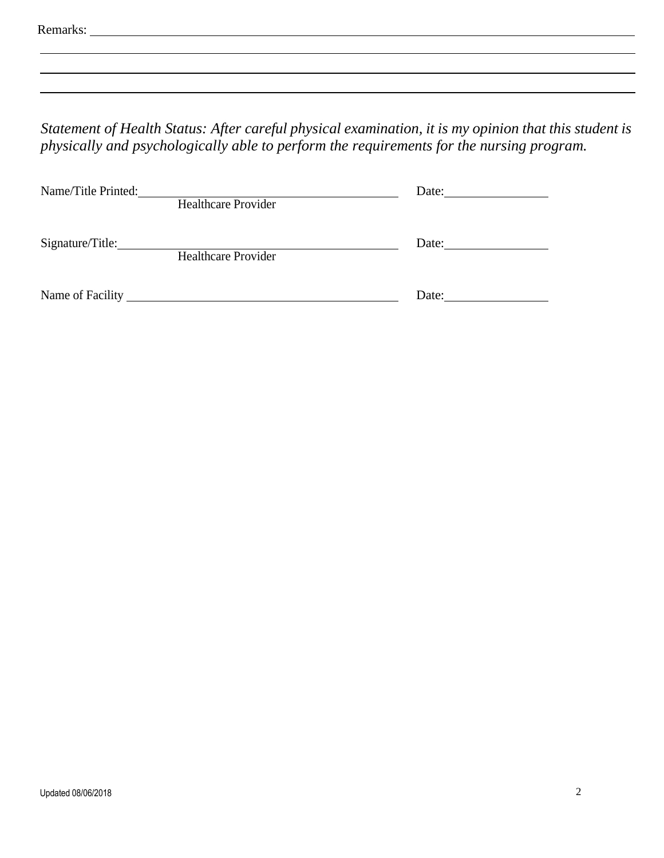| Remarks: |
|----------|
|----------|

*Statement of Health Status: After careful physical examination, it is my opinion that this student is physically and psychologically able to perform the requirements for the nursing program.*

| Name/Title Printed: |                            | Date: |  |
|---------------------|----------------------------|-------|--|
|                     | <b>Healthcare Provider</b> |       |  |
|                     |                            |       |  |
| Signature/Title:    |                            | Date: |  |
|                     | <b>Healthcare Provider</b> |       |  |
|                     |                            |       |  |
|                     |                            |       |  |
| Name of Facility    |                            | Date: |  |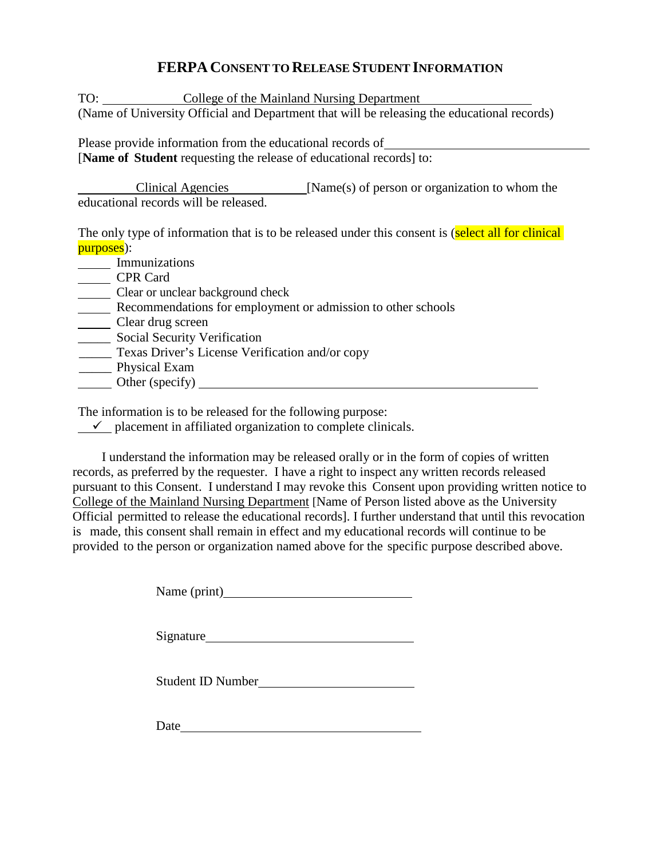# **FERPA CONSENT TO RELEASE STUDENT INFORMATION**

TO: College of the Mainland Nursing Department (Name of University Official and Department that will be releasing the educational records)

Please provide information from the educational records of [**Name of Student** requesting the release of educational records] to:

Clinical Agencies [Name(s) of person or organization to whom the educational records will be released.

The only type of information that is to be released under this consent is (select all for clinical purposes):

**Immunizations** CPR Card Clear or unclear background check **Recommendations for employment or admission to other schools** Clear drug screen **\_\_\_\_\_\_** Social Security Verification \_\_\_\_\_ Texas Driver's License Verification and/or copy \_\_\_\_\_ Physical Exam

Other (specify)

The information is to be released for the following purpose:

 $\checkmark$  placement in affiliated organization to complete clinicals.

I understand the information may be released orally or in the form of copies of written records, as preferred by the requester. I have a right to inspect any written records released pursuant to this Consent. I understand I may revoke this Consent upon providing written notice to College of the Mainland Nursing Department [Name of Person listed above as the University Official permitted to release the educational records]. I further understand that until this revocation is made, this consent shall remain in effect and my educational records will continue to be provided to the person or organization named above for the specific purpose described above.

Name (print)

Signature Signature Signature Signature Signature Signature Signature Signature Signature Signature Signature Signature Signature Signature Signature Signature Signature Signature Signature Signature Signature Signature Si

Student ID Number

Date and the set of the set of the set of the set of the set of the set of the set of the set of the set of the set of the set of the set of the set of the set of the set of the set of the set of the set of the set of the